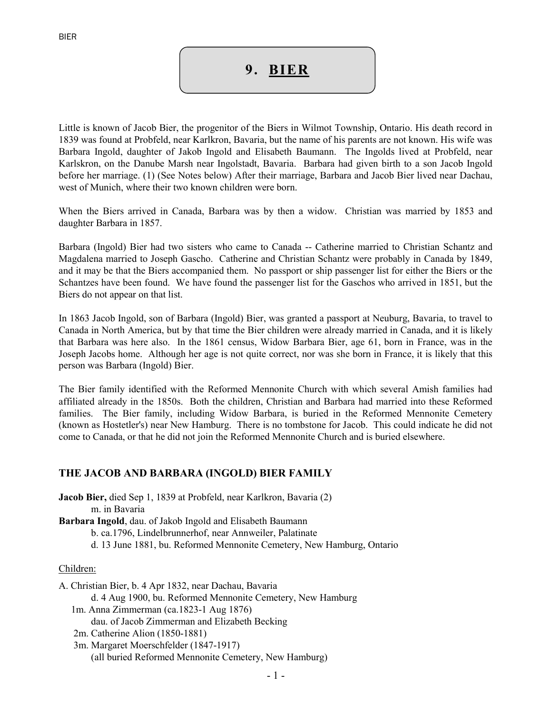# 9. BIER

Little is known of Jacob Bier, the progenitor of the Biers in Wilmot Township, Ontario. His death record in 1839 was found at Probfeld, near Karlkron, Bavaria, but the name of his parents are not known. His wife was Barbara Ingold, daughter of Jakob Ingold and Elisabeth Baumann. The Ingolds lived at Probfeld, near Karlskron, on the Danube Marsh near Ingolstadt, Bavaria. Barbara had given birth to a son Jacob Ingold before her marriage. (1) (See Notes below) After their marriage, Barbara and Jacob Bier lived near Dachau, west of Munich, where their two known children were born.

When the Biers arrived in Canada, Barbara was by then a widow. Christian was married by 1853 and daughter Barbara in 1857.

Barbara (Ingold) Bier had two sisters who came to Canada -- Catherine married to Christian Schantz and Magdalena married to Joseph Gascho. Catherine and Christian Schantz were probably in Canada by 1849, and it may be that the Biers accompanied them. No passport or ship passenger list for either the Biers or the Schantzes have been found. We have found the passenger list for the Gaschos who arrived in 1851, but the Biers do not appear on that list.

In 1863 Jacob Ingold, son of Barbara (Ingold) Bier, was granted a passport at Neuburg, Bavaria, to travel to Canada in North America, but by that time the Bier children were already married in Canada, and it is likely that Barbara was here also. In the 1861 census, Widow Barbara Bier, age 61, born in France, was in the Joseph Jacobs home. Although her age is not quite correct, nor was she born in France, it is likely that this person was Barbara (Ingold) Bier.

The Bier family identified with the Reformed Mennonite Church with which several Amish families had affiliated already in the 1850s. Both the children, Christian and Barbara had married into these Reformed families. The Bier family, including Widow Barbara, is buried in the Reformed Mennonite Cemetery (known as Hostetler's) near New Hamburg. There is no tombstone for Jacob. This could indicate he did not come to Canada, or that he did not join the Reformed Mennonite Church and is buried elsewhere.

# THE JACOB AND BARBARA (INGOLD) BIER FAMILY

Jacob Bier, died Sep 1, 1839 at Probfeld, near Karlkron, Bavaria (2) m. in Bavaria Barbara Ingold, dau. of Jakob Ingold and Elisabeth Baumann b. ca.1796, Lindelbrunnerhof, near Annweiler, Palatinate d. 13 June 1881, bu. Reformed Mennonite Cemetery, New Hamburg, Ontario

#### Children:

A. Christian Bier, b. 4 Apr 1832, near Dachau, Bavaria d. 4 Aug 1900, bu. Reformed Mennonite Cemetery, New Hamburg 1m. Anna Zimmerman (ca.1823-1 Aug 1876) dau. of Jacob Zimmerman and Elizabeth Becking 2m. Catherine Alion (1850-1881)

 3m. Margaret Moerschfelder (1847-1917) (all buried Reformed Mennonite Cemetery, New Hamburg)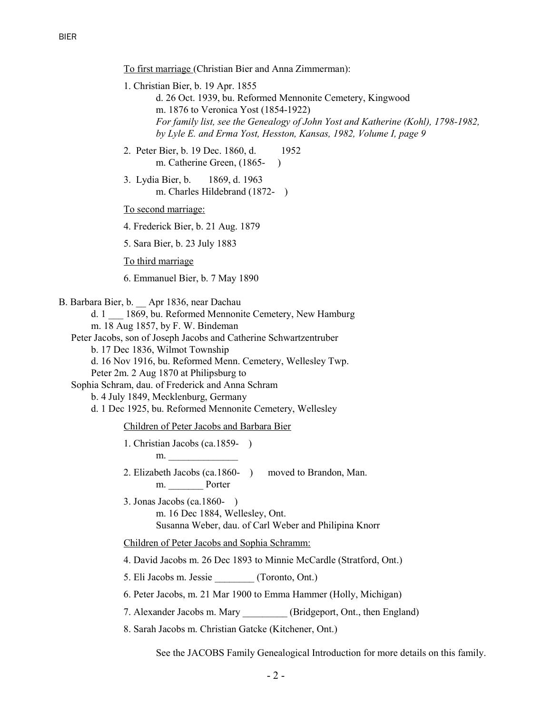To first marriage (Christian Bier and Anna Zimmerman):

- 1. Christian Bier, b. 19 Apr. 1855 d. 26 Oct. 1939, bu. Reformed Mennonite Cemetery, Kingwood m. 1876 to Veronica Yost (1854-1922) For family list, see the Genealogy of John Yost and Katherine (Kohl), 1798-1982, by Lyle E. and Erma Yost, Hesston, Kansas, 1982, Volume I, page 9
- 2. Peter Bier, b. 19 Dec. 1860, d. 1952 m. Catherine Green, (1865-)
- 3. Lydia Bier, b. 1869, d. 1963 m. Charles Hildebrand (1872- )

To second marriage:

4. Frederick Bier, b. 21 Aug. 1879

5. Sara Bier, b. 23 July 1883

To third marriage

6. Emmanuel Bier, b. 7 May 1890

B. Barbara Bier, b. \_\_ Apr 1836, near Dachau

d. 1 \_\_\_ 1869, bu. Reformed Mennonite Cemetery, New Hamburg

m. 18 Aug 1857, by F. W. Bindeman

Peter Jacobs, son of Joseph Jacobs and Catherine Schwartzentruber

b. 17 Dec 1836, Wilmot Township

d. 16 Nov 1916, bu. Reformed Menn. Cemetery, Wellesley Twp.

Peter 2m. 2 Aug 1870 at Philipsburg to

Sophia Schram, dau. of Frederick and Anna Schram

b. 4 July 1849, Mecklenburg, Germany

d. 1 Dec 1925, bu. Reformed Mennonite Cemetery, Wellesley

Children of Peter Jacobs and Barbara Bier

1. Christian Jacobs (ca.1859- ) m.

 2. Elizabeth Jacobs (ca.1860- ) moved to Brandon, Man. m. Porter

 3. Jonas Jacobs (ca.1860- ) m. 16 Dec 1884, Wellesley, Ont. Susanna Weber, dau. of Carl Weber and Philipina Knorr

Children of Peter Jacobs and Sophia Schramm:

4. David Jacobs m. 26 Dec 1893 to Minnie McCardle (Stratford, Ont.)

5. Eli Jacobs m. Jessie (Toronto, Ont.)

6. Peter Jacobs, m. 21 Mar 1900 to Emma Hammer (Holly, Michigan)

7. Alexander Jacobs m. Mary (Bridgeport, Ont., then England)

8. Sarah Jacobs m. Christian Gatcke (Kitchener, Ont.)

See the JACOBS Family Genealogical Introduction for more details on this family.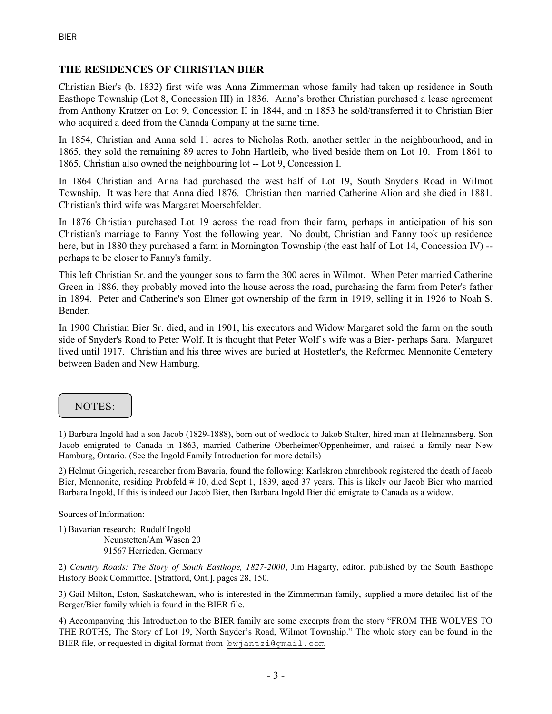# THE RESIDENCES OF CHRISTIAN BIER

Christian Bier's (b. 1832) first wife was Anna Zimmerman whose family had taken up residence in South Easthope Township (Lot 8, Concession III) in 1836. Anna's brother Christian purchased a lease agreement from Anthony Kratzer on Lot 9, Concession II in 1844, and in 1853 he sold/transferred it to Christian Bier who acquired a deed from the Canada Company at the same time.

In 1854, Christian and Anna sold 11 acres to Nicholas Roth, another settler in the neighbourhood, and in 1865, they sold the remaining 89 acres to John Hartleib, who lived beside them on Lot 10. From 1861 to 1865, Christian also owned the neighbouring lot -- Lot 9, Concession I.

In 1864 Christian and Anna had purchased the west half of Lot 19, South Snyder's Road in Wilmot Township. It was here that Anna died 1876. Christian then married Catherine Alion and she died in 1881. Christian's third wife was Margaret Moerschfelder.

In 1876 Christian purchased Lot 19 across the road from their farm, perhaps in anticipation of his son Christian's marriage to Fanny Yost the following year. No doubt, Christian and Fanny took up residence here, but in 1880 they purchased a farm in Mornington Township (the east half of Lot 14, Concession IV) -perhaps to be closer to Fanny's family.

This left Christian Sr. and the younger sons to farm the 300 acres in Wilmot. When Peter married Catherine Green in 1886, they probably moved into the house across the road, purchasing the farm from Peter's father in 1894. Peter and Catherine's son Elmer got ownership of the farm in 1919, selling it in 1926 to Noah S. Bender.

In 1900 Christian Bier Sr. died, and in 1901, his executors and Widow Margaret sold the farm on the south side of Snyder's Road to Peter Wolf. It is thought that Peter Wolf's wife was a Bier- perhaps Sara. Margaret lived until 1917. Christian and his three wives are buried at Hostetler's, the Reformed Mennonite Cemetery between Baden and New Hamburg.

# NOTES:

1) Barbara Ingold had a son Jacob (1829-1888), born out of wedlock to Jakob Stalter, hired man at Helmannsberg. Son Jacob emigrated to Canada in 1863, married Catherine Oberheimer/Oppenheimer, and raised a family near New Hamburg, Ontario. (See the Ingold Family Introduction for more details)

2) Helmut Gingerich, researcher from Bavaria, found the following: Karlskron churchbook registered the death of Jacob Bier, Mennonite, residing Probfeld # 10, died Sept 1, 1839, aged 37 years. This is likely our Jacob Bier who married Barbara Ingold, If this is indeed our Jacob Bier, then Barbara Ingold Bier did emigrate to Canada as a widow.

#### Sources of Information:

1) Bavarian research: Rudolf Ingold Neunstetten/Am Wasen 20 91567 Herrieden, Germany

2) Country Roads: The Story of South Easthope, 1827-2000, Jim Hagarty, editor, published by the South Easthope History Book Committee, [Stratford, Ont.], pages 28, 150.

3) Gail Milton, Eston, Saskatchewan, who is interested in the Zimmerman family, supplied a more detailed list of the Berger/Bier family which is found in the BIER file.

4) Accompanying this Introduction to the BIER family are some excerpts from the story "FROM THE WOLVES TO THE ROTHS, The Story of Lot 19, North Snyder's Road, Wilmot Township." The whole story can be found in the BIER file, or requested in digital format from bwjantzi@gmail.com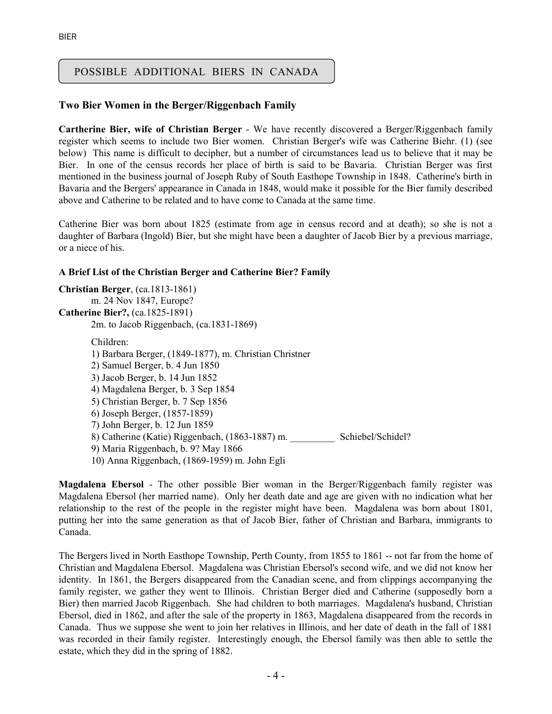# POSSIBLE ADDITIONAL BIERS IN CANADA

## Two Bier Women in the Berger/Riggenbach Family

Cartherine Bier, wife of Christian Berger - We have recently discovered a Berger/Riggenbach family register which seems to include two Bier women. Christian Berger's wife was Catherine Biehr. (1) (see below) This name is difficult to decipher, but a number of circumstances lead us to believe that it may be Bier. In one of the census records her place of birth is said to be Bavaria. Christian Berger was first mentioned in the business journal of Joseph Ruby of South Easthope Township in 1848. Catherine's birth in Bavaria and the Bergers' appearance in Canada in 1848, would make it possible for the Bier family described above and Catherine to be related and to have come to Canada at the same time.

Catherine Bier was born about 1825 (estimate from age in census record and at death); so she is not a daughter of Barbara (Ingold) Bier, but she might have been a daughter of Jacob Bier by a previous marriage, or a niece of his.

#### A Brief List of the Christian Berger and Catherine Bier? Family

```
Christian Berger, (ca.1813-1861) 
        m. 24 Nov 1847, Europe? 
Catherine Bier?, (ca.1825-1891) 
        2m. to Jacob Riggenbach, (ca.1831-1869) 
       Children: 
        1) Barbara Berger, (1849-1877), m. Christian Christner 
       2) Samuel Berger, b. 4 Jun 1850 
       3) Jacob Berger, b. 14 Jun 1852 
       4) Magdalena Berger, b. 3 Sep 1854 
       5) Christian Berger, b. 7 Sep 1856 
       6) Joseph Berger, (1857-1859) 
       7) John Berger, b. 12 Jun 1859 
       8) Catherine (Katie) Riggenbach, (1863-1887) m. Schiebel/Schidel?
       9) Maria Riggenbach, b. 9? May 1866 
        10) Anna Riggenbach, (1869-1959) m. John Egli
```
Magdalena Ebersol - The other possible Bier woman in the Berger/Riggenbach family register was Magdalena Ebersol (her married name). Only her death date and age are given with no indication what her relationship to the rest of the people in the register might have been. Magdalena was born about 1801, putting her into the same generation as that of Jacob Bier, father of Christian and Barbara, immigrants to Canada.

The Bergers lived in North Easthope Township, Perth County, from 1855 to 1861 -- not far from the home of Christian and Magdalena Ebersol. Magdalena was Christian Ebersol's second wife, and we did not know her identity. In 1861, the Bergers disappeared from the Canadian scene, and from clippings accompanying the family register, we gather they went to Illinois. Christian Berger died and Catherine (supposedly born a Bier) then married Jacob Riggenbach. She had children to both marriages. Magdalena's husband, Christian Ebersol, died in 1862, and after the sale of the property in 1863, Magdalena disappeared from the records in Canada. Thus we suppose she went to join her relatives in Illinois, and her date of death in the fall of 1881 was recorded in their family register. Interestingly enough, the Ebersol family was then able to settle the estate, which they did in the spring of 1882.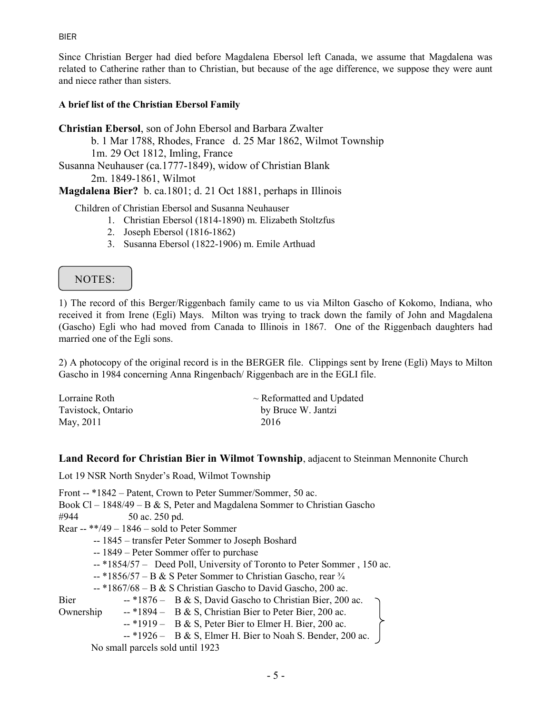#### BIER

Since Christian Berger had died before Magdalena Ebersol left Canada, we assume that Magdalena was related to Catherine rather than to Christian, but because of the age difference, we suppose they were aunt and niece rather than sisters.

### A brief list of the Christian Ebersol Family

Christian Ebersol, son of John Ebersol and Barbara Zwalter

b. 1 Mar 1788, Rhodes, France d. 25 Mar 1862, Wilmot Township

1m. 29 Oct 1812, Imling, France

Susanna Neuhauser (ca.1777-1849), widow of Christian Blank

2m. 1849-1861, Wilmot

Magdalena Bier? b. ca.1801; d. 21 Oct 1881, perhaps in Illinois

Children of Christian Ebersol and Susanna Neuhauser

- 1. Christian Ebersol (1814-1890) m. Elizabeth Stoltzfus
- 2. Joseph Ebersol (1816-1862)
- 3. Susanna Ebersol (1822-1906) m. Emile Arthuad

# NOTES:

1) The record of this Berger/Riggenbach family came to us via Milton Gascho of Kokomo, Indiana, who received it from Irene (Egli) Mays. Milton was trying to track down the family of John and Magdalena (Gascho) Egli who had moved from Canada to Illinois in 1867. One of the Riggenbach daughters had married one of the Egli sons.

2) A photocopy of the original record is in the BERGER file. Clippings sent by Irene (Egli) Mays to Milton Gascho in 1984 concerning Anna Ringenbach/ Riggenbach are in the EGLI file.

| Lorraine Roth      | $\sim$ Reformatted and Updated |
|--------------------|--------------------------------|
| Tavistock, Ontario | by Bruce W. Jantzi             |
| May, 2011          | 2016                           |

#### Land Record for Christian Bier in Wilmot Township, adjacent to Steinman Mennonite Church

Lot 19 NSR North Snyder's Road, Wilmot Township

Front -- \*1842 – Patent, Crown to Peter Summer/Sommer, 50 ac. Book Cl – 1848/49 – B & S, Peter and Magdalena Sommer to Christian Gascho #944 50 ac. 250 pd. Rear --  $**/49 - 1846 -$  sold to Peter Sommer -- 1845 – transfer Peter Sommer to Joseph Boshard -- 1849 – Peter Sommer offer to purchase -- \*1854/57 – Deed Poll, University of Toronto to Peter Sommer , 150 ac.  $-$  \*1856/57 – B & S Peter Sommer to Christian Gascho, rear  $\frac{3}{4}$  $-$  \*1867/68 – B & S Christian Gascho to David Gascho, 200 ac. Bier -- \*1876 – B & S, David Gascho to Christian Bier, 200 ac. Ownership -- \*1894 – B & S, Christian Bier to Peter Bier, 200 ac.  $-$  \*1919 – B & S, Peter Bier to Elmer H. Bier, 200 ac.  $-$  \*1926 – B & S, Elmer H. Bier to Noah S. Bender, 200 ac. No small parcels sold until 1923